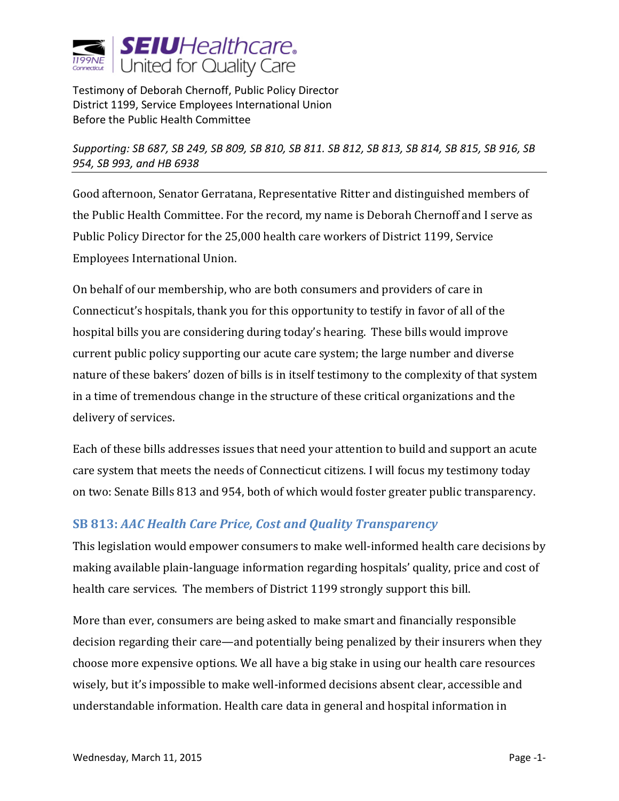

Testimony of Deborah Chernoff, Public Policy Director District 1199, Service Employees International Union Before the Public Health Committee

*Supporting: SB 687, SB 249, SB 809, SB 810, SB 811. SB 812, SB 813, SB 814, SB 815, SB 916, SB 954, SB 993, and HB 6938*

Good afternoon, Senator Gerratana, Representative Ritter and distinguished members of the Public Health Committee. For the record, my name is Deborah Chernoff and I serve as Public Policy Director for the 25,000 health care workers of District 1199, Service Employees International Union.

On behalf of our membership, who are both consumers and providers of care in Connecticut's hospitals, thank you for this opportunity to testify in favor of all of the hospital bills you are considering during today's hearing. These bills would improve current public policy supporting our acute care system; the large number and diverse nature of these bakers' dozen of bills is in itself testimony to the complexity of that system in a time of tremendous change in the structure of these critical organizations and the delivery of services.

Each of these bills addresses issues that need your attention to build and support an acute care system that meets the needs of Connecticut citizens. I will focus my testimony today on two: Senate Bills 813 and 954, both of which would foster greater public transparency.

## **SB 813:** *AAC Health Care Price, Cost and Quality Transparency*

This legislation would empower consumers to make well-informed health care decisions by making available plain-language information regarding hospitals' quality, price and cost of health care services. The members of District 1199 strongly support this bill.

More than ever, consumers are being asked to make smart and financially responsible decision regarding their care—and potentially being penalized by their insurers when they choose more expensive options. We all have a big stake in using our health care resources wisely, but it's impossible to make well-informed decisions absent clear, accessible and understandable information. Health care data in general and hospital information in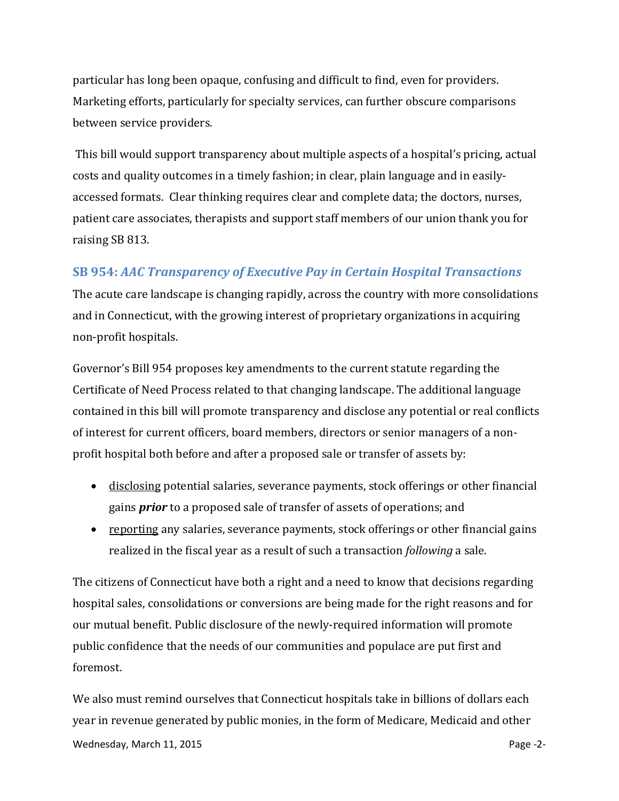particular has long been opaque, confusing and difficult to find, even for providers. Marketing efforts, particularly for specialty services, can further obscure comparisons between service providers.

This bill would support transparency about multiple aspects of a hospital's pricing, actual costs and quality outcomes in a timely fashion; in clear, plain language and in easilyaccessed formats. Clear thinking requires clear and complete data; the doctors, nurses, patient care associates, therapists and support staff members of our union thank you for raising SB 813.

## **SB 954:** *AAC Transparency of Executive Pay in Certain Hospital Transactions*

The acute care landscape is changing rapidly, across the country with more consolidations and in Connecticut, with the growing interest of proprietary organizations in acquiring non-profit hospitals.

Governor's Bill 954 proposes key amendments to the current statute regarding the Certificate of Need Process related to that changing landscape. The additional language contained in this bill will promote transparency and disclose any potential or real conflicts of interest for current officers, board members, directors or senior managers of a nonprofit hospital both before and after a proposed sale or transfer of assets by:

- disclosing potential salaries, severance payments, stock offerings or other financial gains *prior* to a proposed sale of transfer of assets of operations; and
- reporting any salaries, severance payments, stock offerings or other financial gains realized in the fiscal year as a result of such a transaction *following* a sale.

The citizens of Connecticut have both a right and a need to know that decisions regarding hospital sales, consolidations or conversions are being made for the right reasons and for our mutual benefit. Public disclosure of the newly-required information will promote public confidence that the needs of our communities and populace are put first and foremost.

We also must remind ourselves that Connecticut hospitals take in billions of dollars each year in revenue generated by public monies, in the form of Medicare, Medicaid and other Wednesday, March 11, 2015 **Page -2-** Page -2